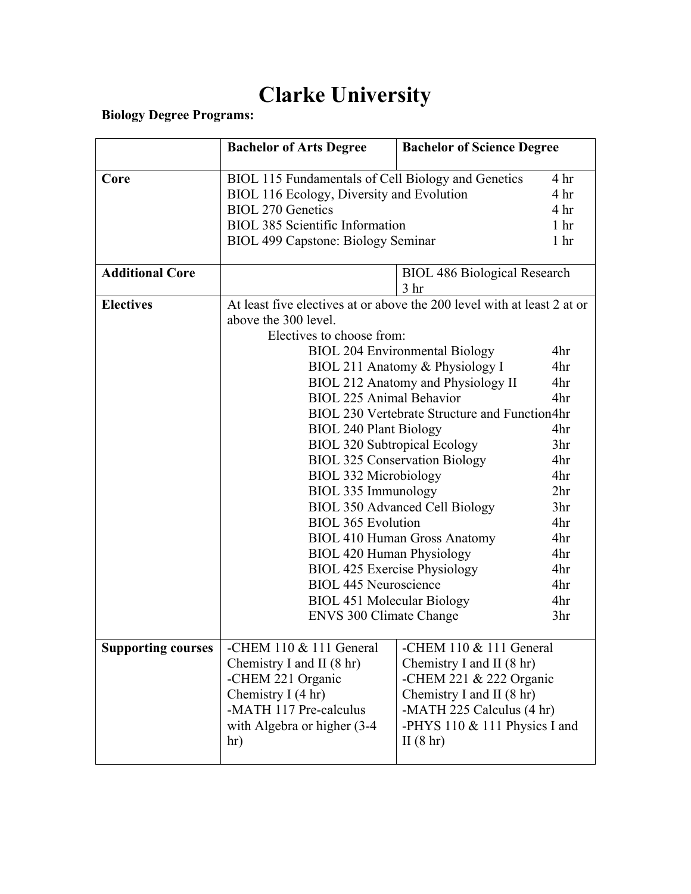# **Clarke University**

**Biology Degree Programs:**

|                           | <b>Bachelor of Arts Degree</b>                                                                  | <b>Bachelor of Science Degree</b>     |                                    |
|---------------------------|-------------------------------------------------------------------------------------------------|---------------------------------------|------------------------------------|
| Core                      |                                                                                                 |                                       | 4 <sup>hr</sup>                    |
|                           | BIOL 115 Fundamentals of Cell Biology and Genetics<br>BIOL 116 Ecology, Diversity and Evolution |                                       | 4 <sup>hr</sup>                    |
|                           | <b>BIOL 270 Genetics</b>                                                                        |                                       | 4 <sup>hr</sup>                    |
|                           | <b>BIOL 385 Scientific Information</b>                                                          |                                       | 1 <sub>hr</sub>                    |
|                           | BIOL 499 Capstone: Biology Seminar                                                              |                                       | 1 <sub>hr</sub>                    |
|                           |                                                                                                 |                                       |                                    |
| <b>Additional Core</b>    |                                                                                                 | <b>BIOL 486 Biological Research</b>   |                                    |
|                           |                                                                                                 | 3 <sub>hr</sub>                       |                                    |
| <b>Electives</b>          | At least five electives at or above the 200 level with at least 2 at or                         |                                       |                                    |
|                           | above the 300 level.                                                                            |                                       |                                    |
|                           | Electives to choose from:                                                                       |                                       |                                    |
|                           |                                                                                                 | <b>BIOL 204 Environmental Biology</b> | 4hr                                |
|                           |                                                                                                 | BIOL 211 Anatomy & Physiology I       | 4hr                                |
|                           |                                                                                                 | BIOL 212 Anatomy and Physiology II    | 4hr                                |
|                           | <b>BIOL 225 Animal Behavior</b><br>4hr                                                          |                                       |                                    |
|                           | BIOL 230 Vertebrate Structure and Function4hr                                                   |                                       |                                    |
|                           | <b>BIOL 240 Plant Biology</b>                                                                   |                                       | 4hr                                |
|                           | <b>BIOL 320 Subtropical Ecology</b>                                                             |                                       | 3 <sub>hr</sub>                    |
|                           | <b>BIOL 325 Conservation Biology</b><br><b>BIOL 332 Microbiology</b>                            |                                       | 4hr                                |
|                           |                                                                                                 |                                       | 4hr                                |
|                           | BIOL 335 Immunology                                                                             |                                       | 2 <sup>hr</sup><br>3 <sub>hr</sub> |
|                           | <b>BIOL 350 Advanced Cell Biology</b>                                                           |                                       | 4hr                                |
|                           | <b>BIOL 365 Evolution</b>                                                                       |                                       |                                    |
|                           | 4hr<br><b>BIOL 410 Human Gross Anatomy</b>                                                      |                                       | 4hr                                |
|                           | <b>BIOL 420 Human Physiology</b><br><b>BIOL 425 Exercise Physiology</b>                         |                                       | 4hr                                |
|                           | <b>BIOL 445 Neuroscience</b>                                                                    |                                       | 4hr                                |
|                           | <b>BIOL 451 Molecular Biology</b>                                                               |                                       | 4hr                                |
|                           |                                                                                                 |                                       | 3 <sub>hr</sub>                    |
|                           | <b>ENVS 300 Climate Change</b>                                                                  |                                       |                                    |
| <b>Supporting courses</b> | -CHEM $110 \& 111$ General<br>-CHEM $110 \& 111$ General                                        |                                       |                                    |
|                           | Chemistry I and II $(8 \text{ hr})$<br>Chemistry I and II (8 hr)                                |                                       |                                    |
|                           | -CHEM 221 Organic<br>-CHEM 221 $&$ 222 Organic                                                  |                                       |                                    |
|                           | Chemistry I (4 hr)<br>Chemistry I and II (8 hr)                                                 |                                       |                                    |
|                           | -MATH 117 Pre-calculus<br>-MATH 225 Calculus (4 hr)                                             |                                       |                                    |
|                           | with Algebra or higher (3-4)<br>-PHYS 110 $&$ 111 Physics I and                                 |                                       |                                    |
|                           | II $(8 \text{ hr})$<br>hr)                                                                      |                                       |                                    |
|                           |                                                                                                 |                                       |                                    |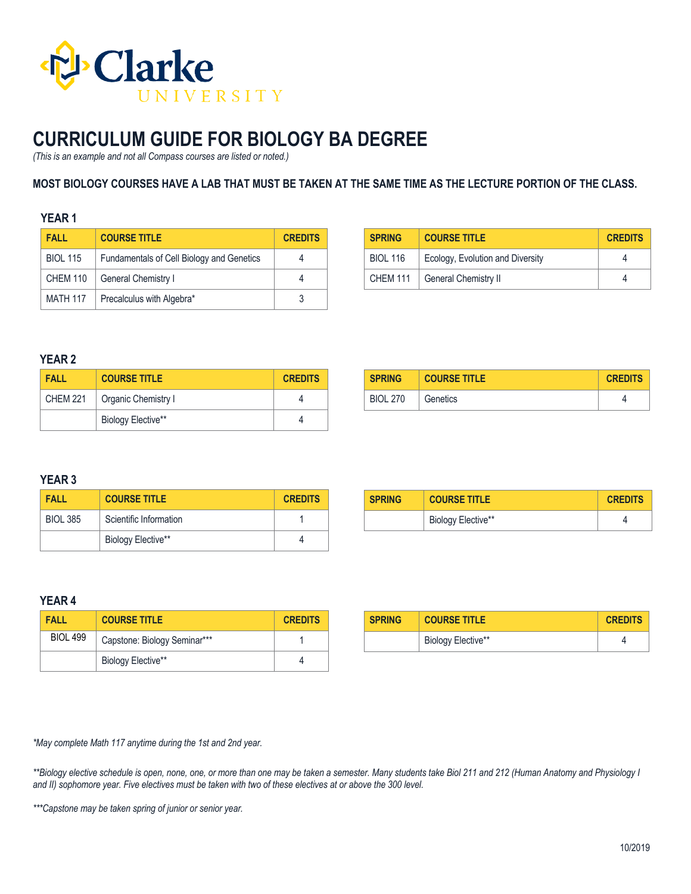

## **CURRICULUM GUIDE FOR BIOLOGY BA DEGREE**

*(This is an example and not all Compass courses are listed or noted.)*

### **MOST BIOLOGY COURSES HAVE A LAB THAT MUST BE TAKEN AT THE SAME TIME AS THE LECTURE PORTION OF THE CLASS.**

### **YEAR 1**

| <b>FALL</b>     | <b>COURSE TITLE</b>                       | <b>CREDITS</b> |
|-----------------|-------------------------------------------|----------------|
| <b>BIOL 115</b> | Fundamentals of Cell Biology and Genetics |                |
| CHEM 110        | General Chemistry I                       |                |
| <b>MATH 117</b> | Precalculus with Algebra*                 |                |

| <b>SPRING</b>   | <b>COURSE TITLE</b>              | <b>CREDITS</b> |
|-----------------|----------------------------------|----------------|
| <b>BIOL 116</b> | Ecology, Evolution and Diversity |                |
| <b>CHEM 111</b> | <b>General Chemistry II</b>      |                |

### **YEAR 2**

| <b>FALL</b>     | <b>COURSE TITLE</b> | <b>CREDITS</b> |
|-----------------|---------------------|----------------|
| <b>CHEM 221</b> | Organic Chemistry I |                |
|                 | Biology Elective**  |                |

| <b>SPRING</b>   | <b>COURSE TITLE</b> | <b>CREDITS</b> |
|-----------------|---------------------|----------------|
| <b>BIOL 270</b> | Genetics            |                |

## **YEAR 3**

| <b>FALL</b>     | <b>COURSE TITLE</b>    | <b>CREDITS</b> |
|-----------------|------------------------|----------------|
| <b>BIOL 385</b> | Scientific Information |                |
|                 | Biology Elective**     |                |

| <b>SPRING</b> | <b>COURSE TITLE</b> | <b>CREDITS</b> |
|---------------|---------------------|----------------|
|               | Biology Elective**  |                |

### **YEAR 4**

| FALL            | <b>COURSE TITLE</b>          | <b>CREDITS</b> |
|-----------------|------------------------------|----------------|
| <b>BIOL 499</b> | Capstone: Biology Seminar*** |                |
|                 | Biology Elective**           |                |

| <b>SPRING</b> | <b>COURSE TITLE</b> | <b>CREDITS</b> |
|---------------|---------------------|----------------|
|               | Biology Elective**  |                |

*\*May complete Math 117 anytime during the 1st and 2nd year.*

*\*\*Biology elective schedule is open, none, one, or more than one may be taken a semester. Many students take Biol 211 and 212 (Human Anatomy and Physiology I and II) sophomore year. Five electives must be taken with two of these electives at or above the 300 level.*

*\*\*\*Capstone may be taken spring of junior or senior year.*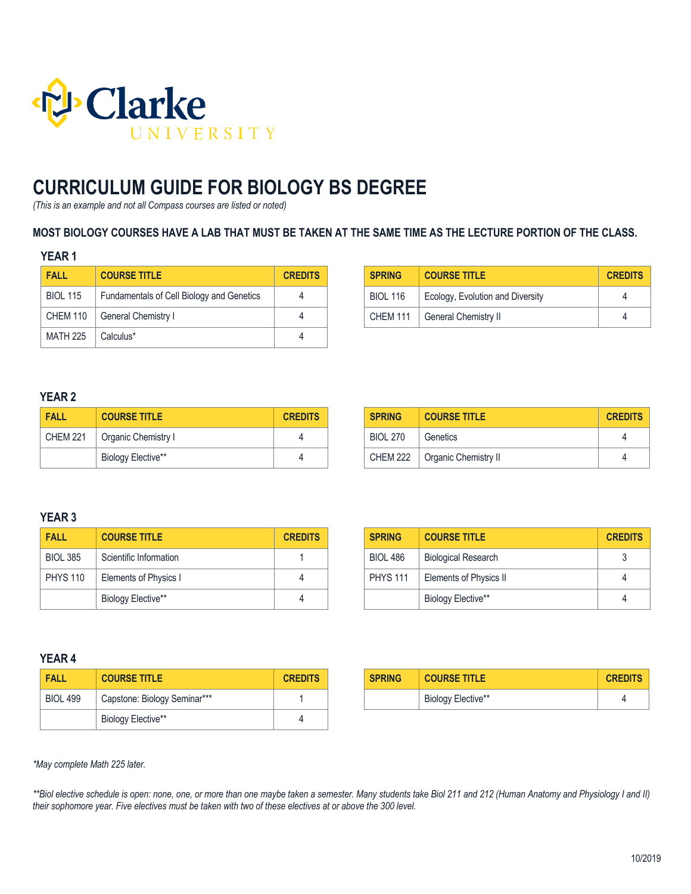

# **CURRICULUM GUIDE FOR BIOLOGY BS DEGREE**

*(This is an example and not all Compass courses are listed or noted)*

### **MOST BIOLOGY COURSES HAVE A LAB THAT MUST BE TAKEN AT THE SAME TIME AS THE LECTURE PORTION OF THE CLASS.**

### **YEAR 1**

| <b>FALL</b>     | <b>COURSE TITLE</b>                       | <b>CREDITS</b> |
|-----------------|-------------------------------------------|----------------|
| <b>BIOL 115</b> | Fundamentals of Cell Biology and Genetics |                |
| <b>CHEM 110</b> | General Chemistry I                       | 4              |
| <b>MATH 225</b> | Calculus*                                 |                |

| <b>SPRING</b>   | <b>COURSE TITLE</b>              | <b>CREDITS</b> |
|-----------------|----------------------------------|----------------|
| <b>BIOL 116</b> | Ecology, Evolution and Diversity |                |
| <b>CHEM 111</b> | General Chemistry II             |                |

### **YEAR 2**

| <b>FALL</b> | <b>COURSE TITLE</b> | <b>CREDITS</b> |
|-------------|---------------------|----------------|
| CHEM 221    | Organic Chemistry I |                |
|             | Biology Elective**  |                |

| <b>SPRING</b>   | <b>COURSE TITLE</b>  | <b>CREDITS</b> |
|-----------------|----------------------|----------------|
| <b>BIOL 270</b> | Genetics             |                |
| <b>CHEM 222</b> | Organic Chemistry II |                |

## **YEAR 3**

| FALL            | <b>COURSE TITLE</b>    | <b>CREDITS</b> |
|-----------------|------------------------|----------------|
| <b>BIOL 385</b> | Scientific Information |                |
| <b>PHYS 110</b> | Elements of Physics I  |                |
|                 | Biology Elective**     |                |

| <b>SPRING</b>   | <b>COURSE TITLE</b>           | <b>CREDITS</b> |
|-----------------|-------------------------------|----------------|
| <b>BIOL 486</b> | <b>Biological Research</b>    |                |
| <b>PHYS 111</b> | <b>Elements of Physics II</b> | 4              |
|                 | Biology Elective**            | Δ              |

### **YEAR 4**

| FALL            | <b>COURSE TITLE</b>          | <b>CREDITS</b> |
|-----------------|------------------------------|----------------|
| <b>BIOL 499</b> | Capstone: Biology Seminar*** |                |
|                 | Biology Elective**           |                |

| <b>SPRING</b> | <b>COURSE TITLE</b> | <b>CREDITS</b> |
|---------------|---------------------|----------------|
|               | Biology Elective**  |                |

*\*May complete Math 225 later.*

*\*\*Biol elective schedule is open: none, one, or more than one maybe taken a semester. Many students take Biol 211 and 212 (Human Anatomy and Physiology I and II) their sophomore year. Five electives must be taken with two of these electives at or above the 300 level.*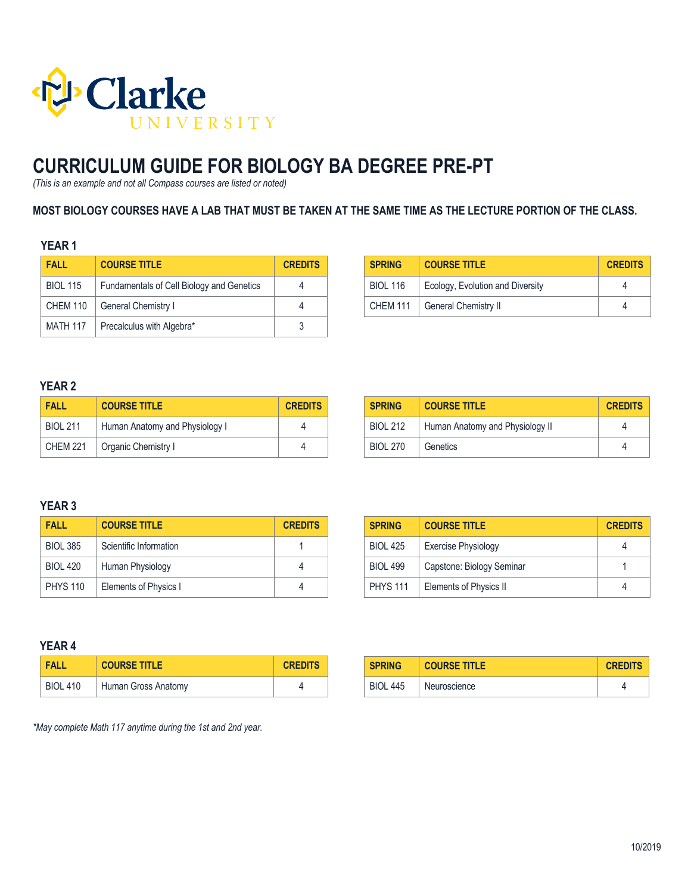

# **CURRICULUM GUIDE FOR BIOLOGY BA DEGREE PRE-PT**

*(This is an example and not all Compass courses are listed or noted)*

### **MOST BIOLOGY COURSES HAVE A LAB THAT MUST BE TAKEN AT THE SAME TIME AS THE LECTURE PORTION OF THE CLASS.**

## **YEAR 1**

| <b>FALL</b>     | <b>COURSE TITLE</b>                       | <b>CREDITS</b> |
|-----------------|-------------------------------------------|----------------|
| <b>BIOL 115</b> | Fundamentals of Cell Biology and Genetics | 4              |
| CHEM 110        | General Chemistry I                       |                |
| <b>MATH 117</b> | Precalculus with Algebra*                 |                |

| <b>SPRING</b>   | <b>COURSE TITLE</b>              | <b>CREDITS</b> |
|-----------------|----------------------------------|----------------|
| <b>BIOL 116</b> | Ecology, Evolution and Diversity |                |
| <b>CHEM 111</b> | General Chemistry II             |                |

## **YEAR 2**

| <b>FALL</b>     | <b>COURSE TITLE</b>            | <b>CREDITS</b> |
|-----------------|--------------------------------|----------------|
| <b>BIOL 211</b> | Human Anatomy and Physiology I |                |
| <b>CHEM 221</b> | Organic Chemistry I            |                |

| <b>SPRING</b>   | <b>COURSE TITLE</b>             | <b>CREDITS</b> |
|-----------------|---------------------------------|----------------|
| <b>BIOL 212</b> | Human Anatomy and Physiology II |                |
| <b>BIOL 270</b> | Genetics                        |                |

## **YEAR 3**

| <b>FALL</b>     | <b>COURSE TITLE</b>    | <b>CREDITS</b> |
|-----------------|------------------------|----------------|
| <b>BIOL 385</b> | Scientific Information |                |
| <b>BIOL 420</b> | Human Physiology       |                |
| <b>PHYS 110</b> | Elements of Physics I  |                |

| <b>SPRING</b>   | <b>COURSE TITLE</b>        | <b>CREDITS</b> |
|-----------------|----------------------------|----------------|
| <b>BIOL 425</b> | <b>Exercise Physiology</b> |                |
| <b>BIOL 499</b> | Capstone: Biology Seminar  |                |
| <b>PHYS 111</b> | Elements of Physics II     |                |

### **YEAR 4**

| <b>FALL</b>     | <b>COURSE TITLE</b> | <b>CREDITS</b> |
|-----------------|---------------------|----------------|
| <b>BIOL 410</b> | Human Gross Anatomy |                |

| <b>SPRING</b>   | <b>COURSE TITLE</b> | <b>CREDITS</b> |
|-----------------|---------------------|----------------|
| <b>BIOL 445</b> | Neuroscience        |                |

*\*May complete Math 117 anytime during the 1st and 2nd year.*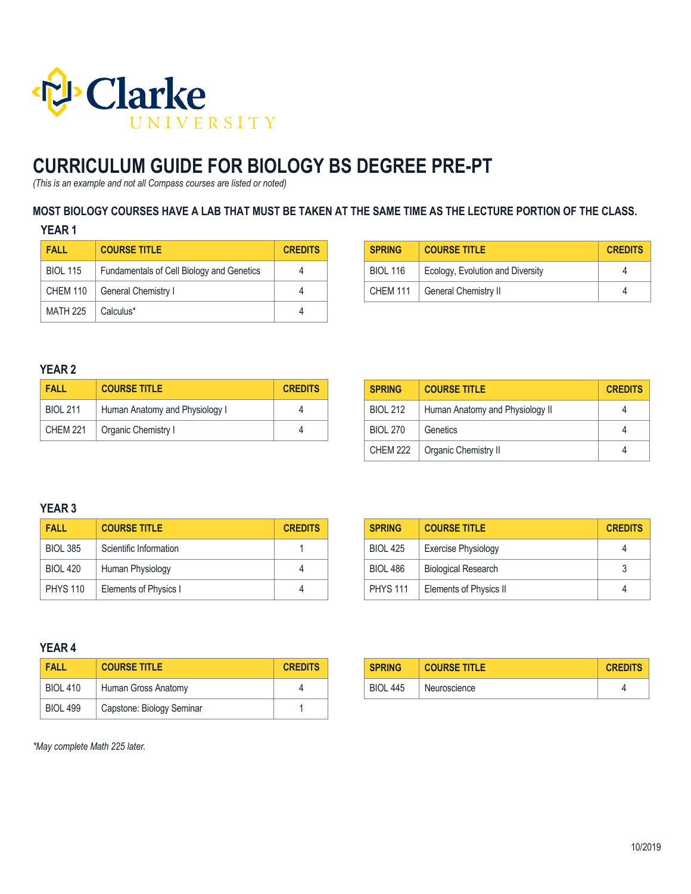

# **CURRICULUM GUIDE FOR BIOLOGY BS DEGREE PRE-PT**

*(This is an example and not all Compass courses are listed or noted)*

### **MOST BIOLOGY COURSES HAVE A LAB THAT MUST BE TAKEN AT THE SAME TIME AS THE LECTURE PORTION OF THE CLASS.**

### **YEAR 1**

| <b>FALL</b>     | <b>COURSE TITLE</b>                       | <b>CREDITS</b> |
|-----------------|-------------------------------------------|----------------|
| <b>BIOL 115</b> | Fundamentals of Cell Biology and Genetics |                |
| CHEM 110        | General Chemistry I                       |                |
| <b>MATH 225</b> | Calculus*                                 |                |

| <b>SPRING</b>   | <b>COURSE TITLE</b>              | <b>CREDITS</b> |
|-----------------|----------------------------------|----------------|
| <b>BIOL 116</b> | Ecology, Evolution and Diversity |                |
| <b>CHEM 111</b> | <b>General Chemistry II</b>      |                |

## **YEAR 2**

| <b>FALL</b>     | <b>COURSE TITLE</b>            | <b>CREDITS</b> |
|-----------------|--------------------------------|----------------|
| <b>BIOL 211</b> | Human Anatomy and Physiology I |                |
| <b>CHEM 221</b> | Organic Chemistry I            |                |

| <b>SPRING</b>   | <b>COURSE TITLE</b>             | <b>CREDITS</b> |
|-----------------|---------------------------------|----------------|
| <b>BIOL 212</b> | Human Anatomy and Physiology II |                |
| <b>BIOL 270</b> | Genetics                        | 4              |
| <b>CHEM 222</b> | Organic Chemistry II            |                |

### **YEAR 3**

| <b>FALL</b>     | <b>COURSE TITLE</b>    | <b>CREDITS</b> |
|-----------------|------------------------|----------------|
| <b>BIOL 385</b> | Scientific Information |                |
| <b>BIOL 420</b> | Human Physiology       |                |
| <b>PHYS 110</b> | Elements of Physics I  |                |

| <b>SPRING</b>   | <b>COURSE TITLE</b>        | <b>CREDITS</b> |
|-----------------|----------------------------|----------------|
| <b>BIOL 425</b> | <b>Exercise Physiology</b> |                |
| <b>BIOL 486</b> | <b>Biological Research</b> |                |
| <b>PHYS 111</b> | Elements of Physics II     | 4              |

### **YEAR 4**

| <b>FALL</b>     | <b>COURSE TITLE</b>       | <b>CREDITS</b> |
|-----------------|---------------------------|----------------|
| <b>BIOL 410</b> | Human Gross Anatomy       |                |
| <b>BIOL 499</b> | Capstone: Biology Seminar |                |

| <b>SPRING</b>   | <b>COURSE TITLE</b> | <b>CREDITS</b> |
|-----------------|---------------------|----------------|
| <b>BIOL 445</b> | Neuroscience        |                |

*\*May complete Math 225 later.*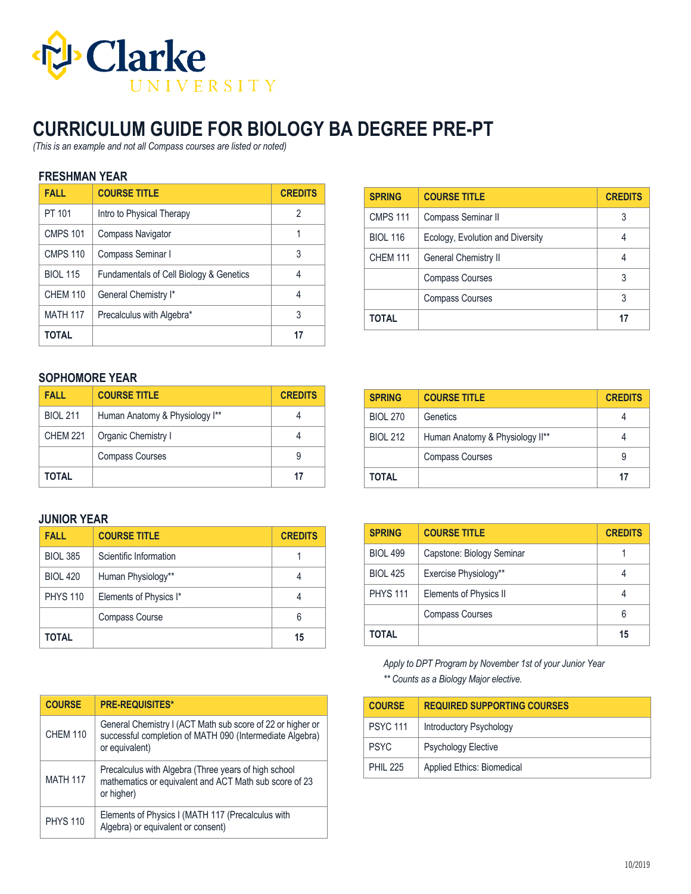

# **CURRICULUM GUIDE FOR BIOLOGY BA DEGREE PRE-PT**

*(This is an example and not all Compass courses are listed or noted)*

### **FRESHMAN YEAR**

| <b>FALL</b>     | <b>COURSE TITLE</b>                                | <b>CREDITS</b> |
|-----------------|----------------------------------------------------|----------------|
| PT 101          | Intro to Physical Therapy                          | 2              |
| <b>CMPS 101</b> | Compass Navigator                                  |                |
| <b>CMPS 110</b> | Compass Seminar I                                  | 3              |
| <b>BIOL 115</b> | <b>Fundamentals of Cell Biology &amp; Genetics</b> | 4              |
| <b>CHEM 110</b> | General Chemistry I*                               | 4              |
| <b>MATH 117</b> | Precalculus with Algebra*                          | 3              |
| <b>TOTAL</b>    |                                                    | 17             |

| <b>SPRING</b>   | <b>COURSE TITLE</b>              | <b>CREDITS</b> |
|-----------------|----------------------------------|----------------|
| <b>CMPS 111</b> | Compass Seminar II               | 3              |
| <b>BIOL 116</b> | Ecology, Evolution and Diversity |                |
| <b>CHEM 111</b> | General Chemistry II             |                |
|                 | <b>Compass Courses</b>           |                |
|                 | <b>Compass Courses</b>           | 3              |
| <b>TOTAL</b>    |                                  |                |

### **SOPHOMORE YEAR**

| <b>FALL</b>     | <b>COURSE TITLE</b>            | <b>CREDITS</b> |
|-----------------|--------------------------------|----------------|
| <b>BIOL 211</b> | Human Anatomy & Physiology I** |                |
| <b>CHEM 221</b> | Organic Chemistry I            |                |
|                 | <b>Compass Courses</b>         | 9              |
| TOTAL           |                                |                |

### **JUNIOR YEAR**

| <b>FALL</b>     | <b>COURSE TITLE</b>    | <b>CREDITS</b> |
|-----------------|------------------------|----------------|
| <b>BIOL 385</b> | Scientific Information |                |
| <b>BIOL 420</b> | Human Physiology**     |                |
| <b>PHYS 110</b> | Elements of Physics I* |                |
|                 | Compass Course         | 6              |
| TOTAL           |                        | 15             |

| <b>COURSE</b>   | <b>PRE-REQUISITES*</b>                                                                                                                   |
|-----------------|------------------------------------------------------------------------------------------------------------------------------------------|
| <b>CHEM 110</b> | General Chemistry I (ACT Math sub score of 22 or higher or<br>successful completion of MATH 090 (Intermediate Algebra)<br>or equivalent) |
| <b>MATH 117</b> | Precalculus with Algebra (Three years of high school<br>mathematics or equivalent and ACT Math sub score of 23<br>or higher)             |
| <b>PHYS 110</b> | Elements of Physics I (MATH 117 (Precalculus with<br>Algebra) or equivalent or consent)                                                  |

| <b>SPRING</b>   | <b>COURSE TITLE</b>             | <b>CREDITS</b> |
|-----------------|---------------------------------|----------------|
| <b>BIOL 270</b> | Genetics                        |                |
| <b>BIOL 212</b> | Human Anatomy & Physiology II** |                |
|                 | <b>Compass Courses</b>          | 9              |
| TOTAL           |                                 | 17             |

| <b>SPRING</b>   | <b>COURSE TITLE</b>       | <b>CREDITS</b> |
|-----------------|---------------------------|----------------|
| <b>BIOL 499</b> | Capstone: Biology Seminar |                |
| <b>BIOL 425</b> | Exercise Physiology**     |                |
| <b>PHYS 111</b> | Elements of Physics II    |                |
|                 | <b>Compass Courses</b>    | 6              |
| TOTAL           |                           | 15             |

*Apply to DPT Program by November 1st of your Junior Year \*\* Counts as a Biology Major elective.*

| <b>COURSE</b>   | <b>REQUIRED SUPPORTING COURSES</b> |
|-----------------|------------------------------------|
| <b>PSYC 111</b> | Introductory Psychology            |
| <b>PSYC</b>     | <b>Psychology Elective</b>         |
| <b>PHIL 225</b> | Applied Ethics: Biomedical         |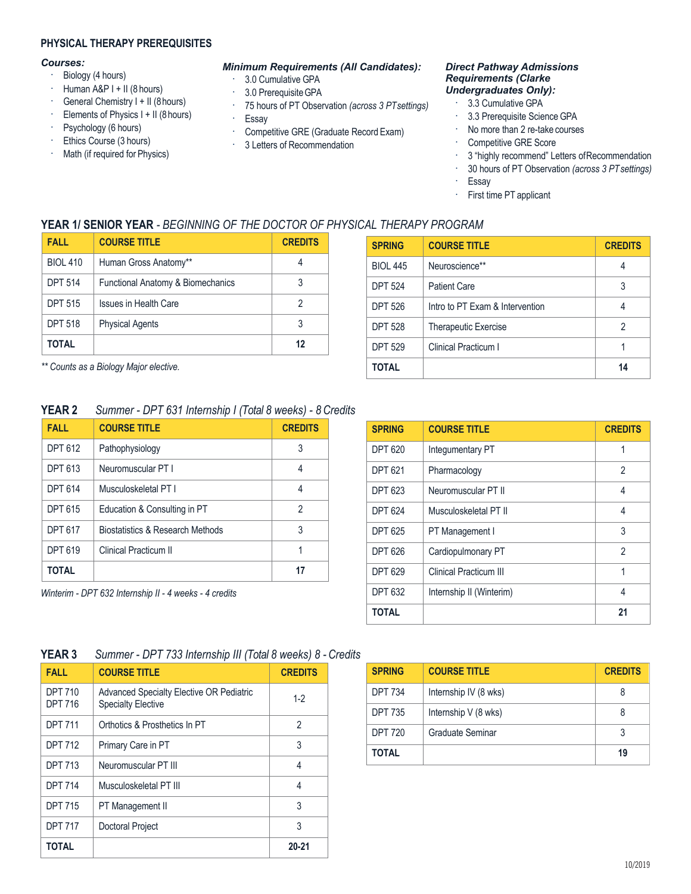### **PHYSICAL THERAPY PREREQUISITES**

#### *Courses:*

- · Biology (4 hours)
- $\cdot$  Human A&P I + II (8 hours)
- · General Chemistry I + II (8hours)
- · Elements of Physics I + II (8hours)
- · Psychology (6 hours)
- · Ethics Course (3 hours)
- · Math (if required for Physics)

#### *Minimum Requirements (All Candidates):*

- · 3.0 Cumulative GPA
- · 3.0 PrerequisiteGPA
- · 75 hours of PT Observation *(across 3 PTsettings)*
- · Essay
- · Competitive GRE (Graduate Record Exam)
- · 3 Letters of Recommendation

#### *Direct Pathway Admissions Requirements (Clarke Undergraduates Only):*

- 3.3 Cumulative GPA
- · 3.3 Prerequisite Science GPA
- · No more than 2 re-take courses
- · Competitive GRE Score
- 3 "highly recommend" Letters of Recommendation
- · 30 hours of PT Observation *(across 3 PTsettings)*
- · Essay
- · First time PT applicant

## **YEAR 1/ SENIOR YEAR** *- BEGINNING OF THE DOCTOR OF PHYSICAL THERAPY PROGRAM*

| <b>FALL</b>     | <b>COURSE TITLE</b>                          | <b>CREDITS</b> |
|-----------------|----------------------------------------------|----------------|
| <b>BIOL 410</b> | Human Gross Anatomy**                        |                |
| <b>DPT 514</b>  | <b>Functional Anatomy &amp; Biomechanics</b> |                |
| <b>DPT 515</b>  | Issues in Health Care                        |                |
| <b>DPT 518</b>  | <b>Physical Agents</b>                       |                |
| TOTAL           |                                              |                |

*\*\* Counts as a Biology Major elective.*

## **YEAR 2** *Summer - DPT 631 Internship I (Total 8 weeks) - 8 Credits*

| <b>FALL</b>    | <b>COURSE TITLE</b>              | <b>CREDITS</b> |
|----------------|----------------------------------|----------------|
| <b>DPT 612</b> | Pathophysiology                  | 3              |
| <b>DPT 613</b> | Neuromuscular PT I               | 4              |
| <b>DPT 614</b> | Musculoskeletal PT I             | 4              |
| <b>DPT 615</b> | Education & Consulting in PT     | 2              |
| <b>DPT 617</b> | Biostatistics & Research Methods | 3              |
| <b>DPT 619</b> | <b>Clinical Practicum II</b>     |                |
| TOTAL          |                                  | 17             |

*Winterim - DPT 632 Internship II - 4 weeks - 4 credits*

| <b>SPRING</b>   | <b>COURSE TITLE</b>             | <b>CREDITS</b> |
|-----------------|---------------------------------|----------------|
| <b>BIOL 445</b> | Neuroscience**                  |                |
| <b>DPT 524</b>  | <b>Patient Care</b>             | 3              |
| <b>DPT 526</b>  | Intro to PT Exam & Intervention |                |
| <b>DPT 528</b>  | <b>Therapeutic Exercise</b>     | 2              |
| <b>DPT 529</b>  | Clinical Practicum I            |                |
| TOTAL           |                                 | 14             |

| <b>SPRING</b>  | <b>COURSE TITLE</b>      | <b>CREDITS</b> |
|----------------|--------------------------|----------------|
| <b>DPT 620</b> | Integumentary PT         | 1              |
| <b>DPT 621</b> | Pharmacology             | $\mathfrak{p}$ |
| <b>DPT 623</b> | Neuromuscular PT II      | 4              |
| <b>DPT 624</b> | Musculoskeletal PT II    | 4              |
| <b>DPT 625</b> | PT Management I          | 3              |
| <b>DPT 626</b> | Cardiopulmonary PT       | 2              |
| <b>DPT 629</b> | Clinical Practicum III   | 1              |
| <b>DPT 632</b> | Internship II (Winterim) | 4              |
| <b>TOTAL</b>   |                          | 21             |

## **YEAR 3** *Summer - DPT 733 Internship III (Total 8 weeks) 8 - Credits*

| <b>FALL</b>                      | <b>COURSE TITLE</b>                                                          | <b>CREDITS</b> |
|----------------------------------|------------------------------------------------------------------------------|----------------|
| <b>DPT 710</b><br><b>DPT 716</b> | <b>Advanced Specialty Elective OR Pediatric</b><br><b>Specialty Elective</b> | $1 - 2$        |
| <b>DPT 711</b>                   | Orthotics & Prosthetics In PT                                                | 2              |
| <b>DPT 712</b>                   | Primary Care in PT                                                           | 3              |
| <b>DPT 713</b>                   | Neuromuscular PT III                                                         | 4              |
| <b>DPT 714</b>                   | Musculoskeletal PT III                                                       | 4              |
| <b>DPT 715</b>                   | PT Management II                                                             | 3              |
| <b>DPT 717</b>                   | <b>Doctoral Project</b>                                                      | 3              |
| <b>TOTAL</b>                     |                                                                              | $20 - 21$      |

| <b>SPRING</b>  | <b>COURSE TITLE</b>   | <b>CREDITS</b> |
|----------------|-----------------------|----------------|
| <b>DPT 734</b> | Internship IV (8 wks) |                |
| <b>DPT 735</b> | Internship V (8 wks)  | 8              |
| <b>DPT 720</b> | Graduate Seminar      |                |
| TOTAL          |                       | 19             |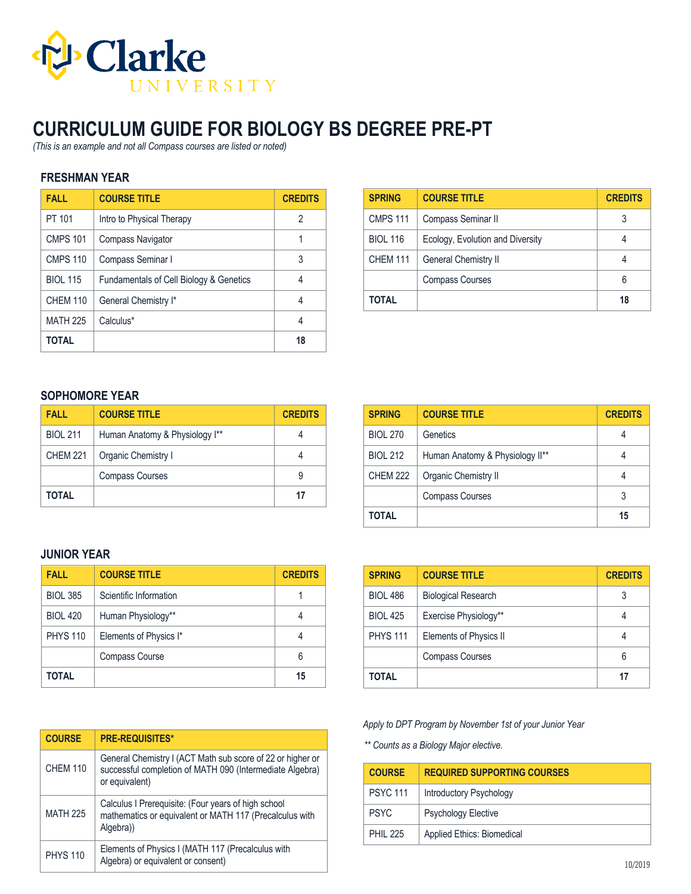

# **CURRICULUM GUIDE FOR BIOLOGY BS DEGREE PRE-PT**

*(This is an example and not all Compass courses are listed or noted)*

### **FRESHMAN YEAR**

| <b>FALL</b>     | <b>COURSE TITLE</b>                     | <b>CREDITS</b> |
|-----------------|-----------------------------------------|----------------|
| PT 101          | Intro to Physical Therapy               | 2              |
| <b>CMPS 101</b> | Compass Navigator                       |                |
| <b>CMPS 110</b> | Compass Seminar I                       | 3              |
| <b>BIOL 115</b> | Fundamentals of Cell Biology & Genetics | 4              |
| <b>CHEM 110</b> | General Chemistry I*                    | 4              |
| <b>MATH 225</b> | Calculus*                               | 4              |
| <b>TOTAL</b>    |                                         | 18             |

| <b>SPRING</b>   | <b>COURSE TITLE</b>              | <b>CREDITS</b> |
|-----------------|----------------------------------|----------------|
| <b>CMPS 111</b> | Compass Seminar II               | 3              |
| <b>BIOL 116</b> | Ecology, Evolution and Diversity |                |
| <b>CHEM 111</b> | <b>General Chemistry II</b>      |                |
|                 | <b>Compass Courses</b>           | 6              |
| TOTAL           |                                  | 18             |

### **SOPHOMORE YEAR**

| <b>FALL</b>     | <b>COURSE TITLE</b>            | <b>CREDITS</b> |
|-----------------|--------------------------------|----------------|
| <b>BIOL 211</b> | Human Anatomy & Physiology I** |                |
| <b>CHEM 221</b> | Organic Chemistry I            |                |
|                 | <b>Compass Courses</b>         | 9              |
| TOTAL           |                                | 17             |

## **JUNIOR YEAR**

| <b>FALL</b>     | <b>COURSE TITLE</b>    | <b>CREDITS</b> |
|-----------------|------------------------|----------------|
| <b>BIOL 385</b> | Scientific Information |                |
| <b>BIOL 420</b> | Human Physiology**     |                |
| <b>PHYS 110</b> | Elements of Physics I* |                |
|                 | <b>Compass Course</b>  | հ              |
| TOTAL           |                        | 15             |

| <b>COURSE</b>   | <b>PRE-REQUISITES*</b>                                                                                                                   |
|-----------------|------------------------------------------------------------------------------------------------------------------------------------------|
| <b>CHEM 110</b> | General Chemistry I (ACT Math sub score of 22 or higher or<br>successful completion of MATH 090 (Intermediate Algebra)<br>or equivalent) |
| <b>MATH 225</b> | Calculus I Prerequisite: (Four years of high school<br>mathematics or equivalent or MATH 117 (Precalculus with<br>Algebra)               |
| <b>PHYS 110</b> | Elements of Physics I (MATH 117 (Precalculus with<br>Algebra) or equivalent or consent)                                                  |

| <b>SPRING</b>   | <b>COURSE TITLE</b>             | <b>CREDITS</b> |
|-----------------|---------------------------------|----------------|
| <b>BIOL 270</b> | Genetics                        |                |
| <b>BIOL 212</b> | Human Anatomy & Physiology II** |                |
| <b>CHEM 222</b> | Organic Chemistry II            |                |
|                 | <b>Compass Courses</b>          | 3              |
| TOTAL           |                                 | 15             |

| <b>SPRING</b>   | <b>COURSE TITLE</b>        | <b>CREDITS</b> |
|-----------------|----------------------------|----------------|
| <b>BIOL 486</b> | <b>Biological Research</b> | 3              |
| <b>BIOL 425</b> | Exercise Physiology**      |                |
| <b>PHYS 111</b> | Elements of Physics II     |                |
|                 | <b>Compass Courses</b>     | 6              |
| TOTAL           |                            | 17             |

*Apply to DPT Program by November 1st of your Junior Year*

*\*\* Counts as a Biology Major elective.*

| <b>COURSE</b>   | <b>REQUIRED SUPPORTING COURSES</b> |
|-----------------|------------------------------------|
| <b>PSYC 111</b> | Introductory Psychology            |
| <b>PSYC</b>     | <b>Psychology Elective</b>         |
| <b>PHIL 225</b> | Applied Ethics: Biomedical         |